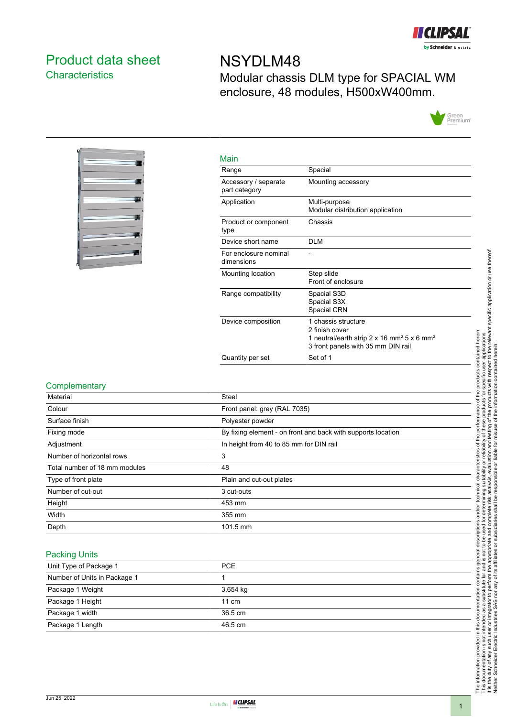

## <span id="page-0-0"></span>Product data sheet **Characteristics**

# NSYDLM48 Modular chassis DLM type for SPACIAL WM enclosure, 48 modules, H500xW400mm.





| Main                                  |                                                                                                                                                   |
|---------------------------------------|---------------------------------------------------------------------------------------------------------------------------------------------------|
| Range                                 | Spacial                                                                                                                                           |
| Accessory / separate<br>part category | Mounting accessory                                                                                                                                |
| Application                           | Multi-purpose<br>Modular distribution application                                                                                                 |
| Product or component<br>type          | Chassis                                                                                                                                           |
| Device short name                     | <b>DLM</b>                                                                                                                                        |
| For enclosure nominal<br>dimensions   |                                                                                                                                                   |
| Mounting location                     | Step slide<br>Front of enclosure                                                                                                                  |
| Range compatibility                   | Spacial S3D<br>Spacial S3X<br>Spacial CRN                                                                                                         |
| Device composition                    | 1 chassis structure<br>2 finish cover<br>1 neutral/earth strip 2 x 16 mm <sup>2</sup> 5 x 6 mm <sup>2</sup><br>3 front panels with 35 mm DIN rail |
| Quantity per set                      | Set of 1                                                                                                                                          |
|                                       |                                                                                                                                                   |

#### **Complementary**

| Material                      | <b>Steel</b>                                                 |
|-------------------------------|--------------------------------------------------------------|
| Colour                        | Front panel: grey (RAL 7035)                                 |
| Surface finish                | Polyester powder                                             |
| Fixing mode                   | By fixing element - on front and back with supports location |
| Adjustment                    | In height from 40 to 85 mm for DIN rail                      |
| Number of horizontal rows     | 3                                                            |
| Total number of 18 mm modules | 48                                                           |
| Type of front plate           | Plain and cut-out plates                                     |
| Number of cut-out             | 3 cut-outs                                                   |
| Height                        | 453 mm                                                       |
| Width                         | 355 mm                                                       |
| Depth                         | 101.5 mm                                                     |

#### Packing Units

| Unit Type of Package 1       | <b>PCE</b>        |
|------------------------------|-------------------|
| Number of Units in Package 1 |                   |
| Package 1 Weight             | 3.654 kg          |
| Package 1 Height             | $11 \text{ cm}$   |
| Package 1 width              | $36.5 \text{ cm}$ |
| Package 1 Length             | 46.5 cm           |